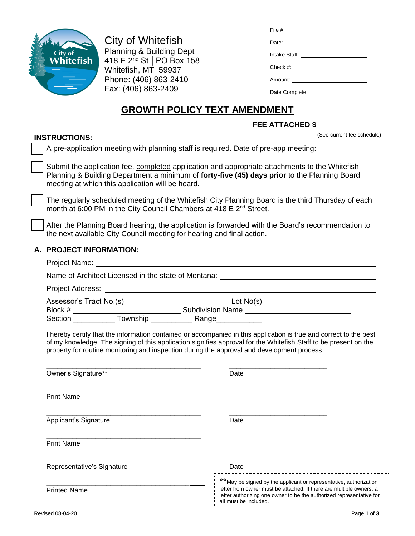

City of Whitefish Planning & Building Dept 418 E 2nd St │PO Box 158 Whitefish, MT 59937 Phone: (406) 863-2410 Fax: (406) 863-2409

| File #: ________________________        |
|-----------------------------------------|
| Date:                                   |
| Intake Staff: _________________________ |
|                                         |
|                                         |
| Date Complete: <u>New York Complete</u> |

# **GROWTH POLICY TEXT AMENDMENT**

|                                                                                             | FEE ATTACHED \$                                                                                                                                                                                                                        |
|---------------------------------------------------------------------------------------------|----------------------------------------------------------------------------------------------------------------------------------------------------------------------------------------------------------------------------------------|
| <b>INSTRUCTIONS:</b>                                                                        | (See current fee schedule)                                                                                                                                                                                                             |
|                                                                                             | A pre-application meeting with planning staff is required. Date of pre-app meeting: ______________                                                                                                                                     |
| meeting at which this application will be heard.                                            | Submit the application fee, completed application and appropriate attachments to the Whitefish<br>Planning & Building Department a minimum of forty-five (45) days prior to the Planning Board                                         |
| month at 6:00 PM in the City Council Chambers at 418 E 2 <sup>nd</sup> Street.              | The regularly scheduled meeting of the Whitefish City Planning Board is the third Thursday of each                                                                                                                                     |
| the next available City Council meeting for hearing and final action.                       | After the Planning Board hearing, the application is forwarded with the Board's recommendation to                                                                                                                                      |
| A. PROJECT INFORMATION:                                                                     |                                                                                                                                                                                                                                        |
|                                                                                             |                                                                                                                                                                                                                                        |
|                                                                                             | Name of Architect Licensed in the state of Montana: Name of Architect Licensed in the state of Montana:                                                                                                                                |
|                                                                                             |                                                                                                                                                                                                                                        |
|                                                                                             |                                                                                                                                                                                                                                        |
|                                                                                             |                                                                                                                                                                                                                                        |
|                                                                                             |                                                                                                                                                                                                                                        |
| property for routine monitoring and inspection during the approval and development process. | I hereby certify that the information contained or accompanied in this application is true and correct to the best<br>of my knowledge. The signing of this application signifies approval for the Whitefish Staff to be present on the |
| Owner's Signature**                                                                         | Date                                                                                                                                                                                                                                   |
| <b>Print Name</b>                                                                           |                                                                                                                                                                                                                                        |
| Applicant's Signature                                                                       | Date                                                                                                                                                                                                                                   |
| <b>Print Name</b>                                                                           |                                                                                                                                                                                                                                        |

| Representative's Signature | Date                                                                                                                                                                                                                                      |
|----------------------------|-------------------------------------------------------------------------------------------------------------------------------------------------------------------------------------------------------------------------------------------|
| <b>Printed Name</b>        | **May be signed by the applicant or representative, authorization<br>letter from owner must be attached. If there are multiple owners, a<br>letter authorizing one owner to be the authorized representative for<br>all must be included. |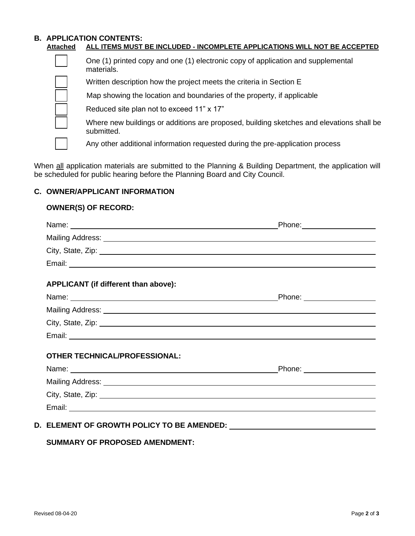#### **B. APPLICATION CONTENTS: Attached ALL ITEMS MUST BE INCLUDED - INCOMPLETE APPLICATIONS WILL NOT BE ACCEPTED**

❑ One (1) printed copy and one (1) electronic copy of application and supplemental materials.

Written description how the project meets the criteria in Section E

Map showing the location and boundaries of the property, if applicable

Reduced site plan not to exceed 11" x 17"

❑ Where new buildings or additions are proposed, building sketches and elevations shall be submitted.

Any other additional information requested during the pre-application process

When all application materials are submitted to the Planning & Building Department, the application will be scheduled for public hearing before the Planning Board and City Council.

## **C. OWNER/APPLICANT INFORMATION**

#### **OWNER(S) OF RECORD:**

|                                                                                                                                                                                                                                | Phone: _______________________ |
|--------------------------------------------------------------------------------------------------------------------------------------------------------------------------------------------------------------------------------|--------------------------------|
|                                                                                                                                                                                                                                |                                |
| City, State, Zip: 2008. Experience of the State of Table 2014. The State of Table 2014. The State of Table 201                                                                                                                 |                                |
|                                                                                                                                                                                                                                |                                |
| APPLICANT (if different than above):                                                                                                                                                                                           |                                |
|                                                                                                                                                                                                                                | Phone: ____________________    |
|                                                                                                                                                                                                                                |                                |
| City, State, Zip: 2008. City, State, Zip: 2008. City, State, Zip: 2008. City, State, Zip: 2008. City, State, Zip: 2008. City, 2008. City, 2008. City, 2008. City, 2008. City, 2008. City, 2008. City, 2008. City, 2008. City,  |                                |
|                                                                                                                                                                                                                                |                                |
| <b>OTHER TECHNICAL/PROFESSIONAL:</b>                                                                                                                                                                                           |                                |
|                                                                                                                                                                                                                                | Phone: __________________      |
|                                                                                                                                                                                                                                |                                |
| City, State, Zip: 2008. City, State, 2008. 2009. 2010. 2010. 2010. 2010. 2010. 2010. 2010. 2010. 2010. 2010. 2010. 2010. 2010. 2010. 2010. 2010. 2010. 2010. 2010. 2010. 2010. 2010. 2010. 2010. 2010. 2010. 2010. 2010. 2010. |                                |
|                                                                                                                                                                                                                                |                                |

## **SUMMARY OF PROPOSED AMENDMENT:**